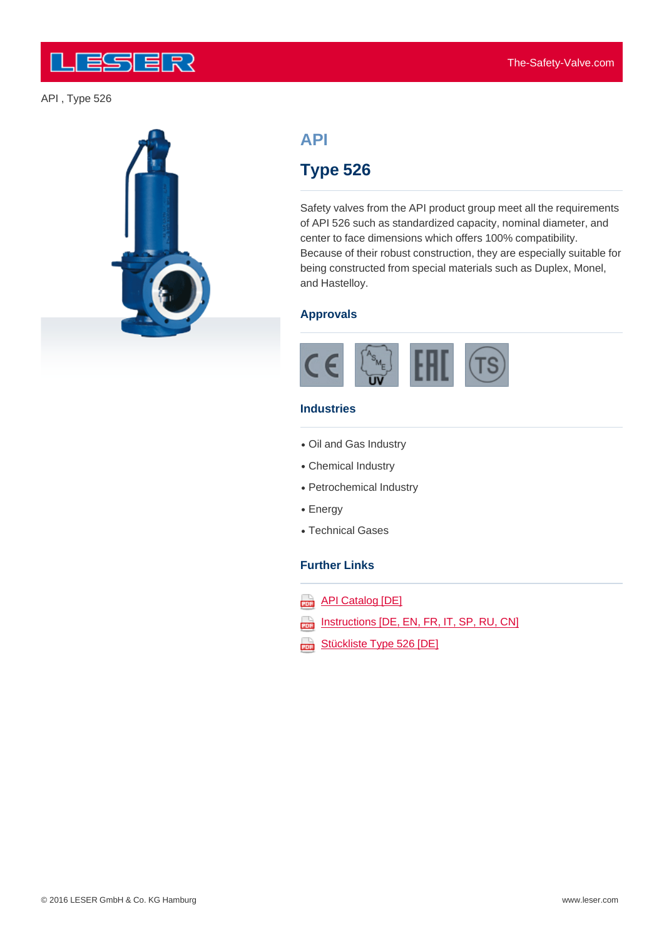

# **API**

## **Type 526**

Safety valves from the API product group meet all the requirements of API 526 such as standardized capacity, nominal diameter, and center to face dimensions which offers 100% compatibility. Because of their robust construction, they are especially suitable for being constructed from special materials such as Duplex, Monel, and Hastelloy.

#### **Approvals**



#### **Industries**

- Oil and Gas Industry
- Chemical Industry
- Petrochemical Industry
- Energy
- Technical Gases

#### **Further Links**

- **API Catalog [DE]**
- **Instructions [DE, EN, FR, IT, SP, RU, CN]**
- Stückliste Type 526 [DE]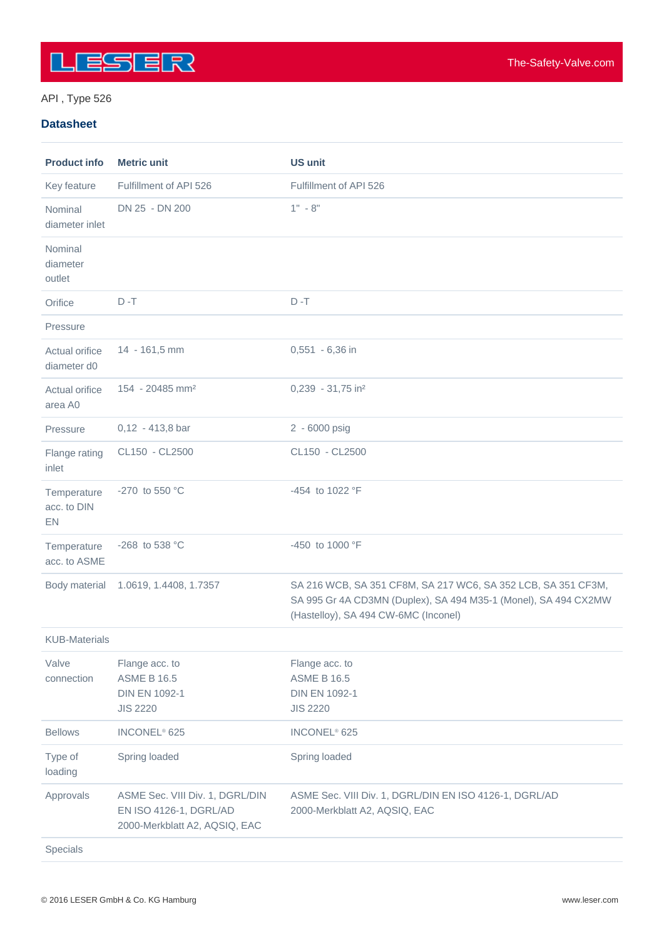

#### API , Type 526

#### **Datasheet**

| <b>Product info</b>              | <b>Metric unit</b>                                                                         | <b>US unit</b>                                                                                                                                                           |
|----------------------------------|--------------------------------------------------------------------------------------------|--------------------------------------------------------------------------------------------------------------------------------------------------------------------------|
| Key feature                      | Fulfillment of API 526                                                                     | Fulfillment of API 526                                                                                                                                                   |
| Nominal<br>diameter inlet        | DN 25 - DN 200                                                                             | $1" - 8"$                                                                                                                                                                |
| Nominal<br>diameter<br>outlet    |                                                                                            |                                                                                                                                                                          |
| Orifice                          | $D - T$                                                                                    | $D - T$                                                                                                                                                                  |
| Pressure                         |                                                                                            |                                                                                                                                                                          |
| Actual orifice<br>diameter d0    | 14 - 161,5 mm                                                                              | 0,551 - 6,36 in                                                                                                                                                          |
| Actual orifice<br>area A0        | 154 - 20485 mm <sup>2</sup>                                                                | 0,239 - 31,75 in <sup>2</sup>                                                                                                                                            |
| Pressure                         | $0,12 - 413,8$ bar                                                                         | 2 - 6000 psig                                                                                                                                                            |
| Flange rating<br>inlet           | CL150 - CL2500                                                                             | CL150 - CL2500                                                                                                                                                           |
| Temperature<br>acc. to DIN<br>EN | -270 to 550 °C                                                                             | -454 to 1022 °F                                                                                                                                                          |
| Temperature<br>acc. to ASME      | -268 to 538 °C                                                                             | -450 to 1000 °F                                                                                                                                                          |
| Body material                    | 1.0619, 1.4408, 1.7357                                                                     | SA 216 WCB, SA 351 CF8M, SA 217 WC6, SA 352 LCB, SA 351 CF3M,<br>SA 995 Gr 4A CD3MN (Duplex), SA 494 M35-1 (Monel), SA 494 CX2MW<br>(Hastelloy), SA 494 CW-6MC (Inconel) |
| <b>KUB-Materials</b>             |                                                                                            |                                                                                                                                                                          |
| Valve<br>connection              | Flange acc. to<br><b>ASME B 16.5</b><br><b>DIN EN 1092-1</b><br><b>JIS 2220</b>            | Flange acc. to<br><b>ASME B 16.5</b><br><b>DIN EN 1092-1</b><br><b>JIS 2220</b>                                                                                          |
| <b>Bellows</b>                   | INCONEL <sup>®</sup> 625                                                                   | INCONEL <sup>®</sup> 625                                                                                                                                                 |
| Type of<br>loading               | Spring loaded                                                                              | Spring loaded                                                                                                                                                            |
| Approvals                        | ASME Sec. VIII Div. 1, DGRL/DIN<br>EN ISO 4126-1, DGRL/AD<br>2000-Merkblatt A2, AQSIQ, EAC | ASME Sec. VIII Div. 1, DGRL/DIN EN ISO 4126-1, DGRL/AD<br>2000-Merkblatt A2, AQSIQ, EAC                                                                                  |
| Specials                         |                                                                                            |                                                                                                                                                                          |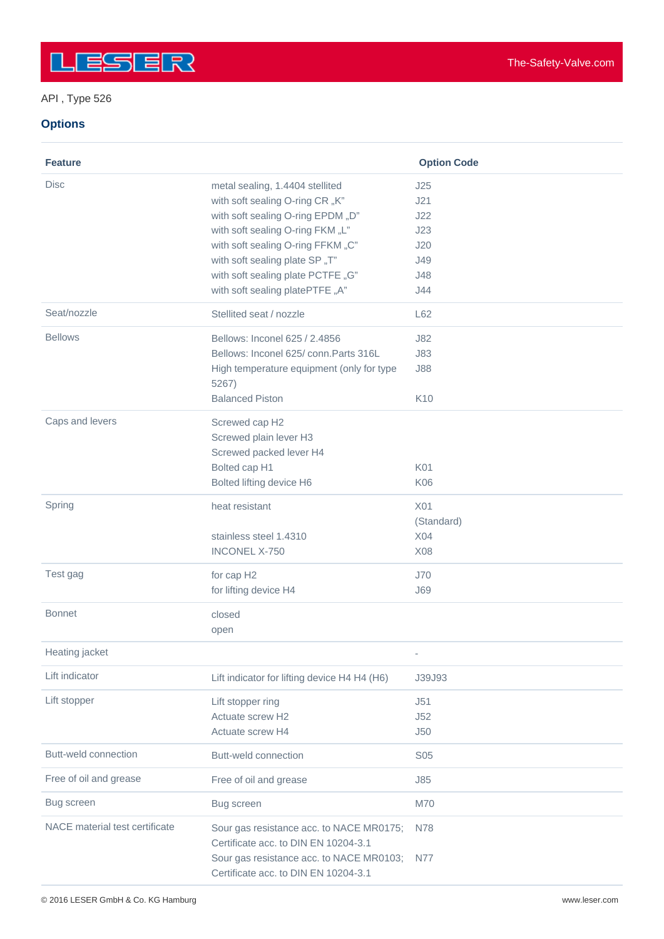### API , Type 526

#### **Options**

| <b>Feature</b>                 |                                                                                      | <b>Option Code</b>       |
|--------------------------------|--------------------------------------------------------------------------------------|--------------------------|
| <b>Disc</b>                    | metal sealing, 1.4404 stellited                                                      | J25                      |
|                                | with soft sealing O-ring CR "K"                                                      | J21                      |
|                                | with soft sealing O-ring EPDM "D"                                                    | J22                      |
|                                | with soft sealing O-ring FKM "L"                                                     | J23                      |
|                                | with soft sealing O-ring FFKM "C"                                                    | J20                      |
|                                | with soft sealing plate SP "T"                                                       | J49                      |
|                                | with soft sealing plate PCTFE "G"                                                    | J48                      |
|                                | with soft sealing platePTFE "A"                                                      | J44                      |
| Seat/nozzle                    | Stellited seat / nozzle                                                              | L62                      |
| <b>Bellows</b>                 | Bellows: Inconel 625 / 2.4856                                                        | J82                      |
|                                | Bellows: Inconel 625/conn. Parts 316L                                                | <b>J83</b>               |
|                                | High temperature equipment (only for type<br>5267)                                   | <b>J88</b>               |
|                                | <b>Balanced Piston</b>                                                               | K10                      |
| Caps and levers                | Screwed cap H2                                                                       |                          |
|                                | Screwed plain lever H3                                                               |                          |
|                                | Screwed packed lever H4                                                              |                          |
|                                | Bolted cap H1                                                                        | K01                      |
|                                | Bolted lifting device H6                                                             | <b>K06</b>               |
| Spring                         | heat resistant                                                                       | X <sub>01</sub>          |
|                                |                                                                                      | (Standard)               |
|                                | stainless steel 1.4310                                                               | X04                      |
|                                | <b>INCONEL X-750</b>                                                                 | X08                      |
| Test gag                       | for cap H2                                                                           | J70                      |
|                                | for lifting device H4                                                                | <b>J69</b>               |
| <b>Bonnet</b>                  | closed                                                                               |                          |
|                                | open                                                                                 |                          |
| Heating jacket                 |                                                                                      | $\overline{\phantom{a}}$ |
| Lift indicator                 | Lift indicator for lifting device H4 H4 (H6)                                         | J39J93                   |
| Lift stopper                   | Lift stopper ring                                                                    | J51                      |
|                                | Actuate screw H2                                                                     | J52                      |
|                                | Actuate screw H4                                                                     | J50                      |
| Butt-weld connection           | Butt-weld connection                                                                 | <b>S05</b>               |
| Free of oil and grease         | Free of oil and grease                                                               | J85                      |
| Bug screen                     | Bug screen                                                                           | M70                      |
| NACE material test certificate | Sour gas resistance acc. to NACE MR0175;                                             | N78                      |
|                                | Certificate acc. to DIN EN 10204-3.1                                                 |                          |
|                                | Sour gas resistance acc. to NACE MR0103; N77<br>Certificate acc. to DIN EN 10204-3.1 |                          |